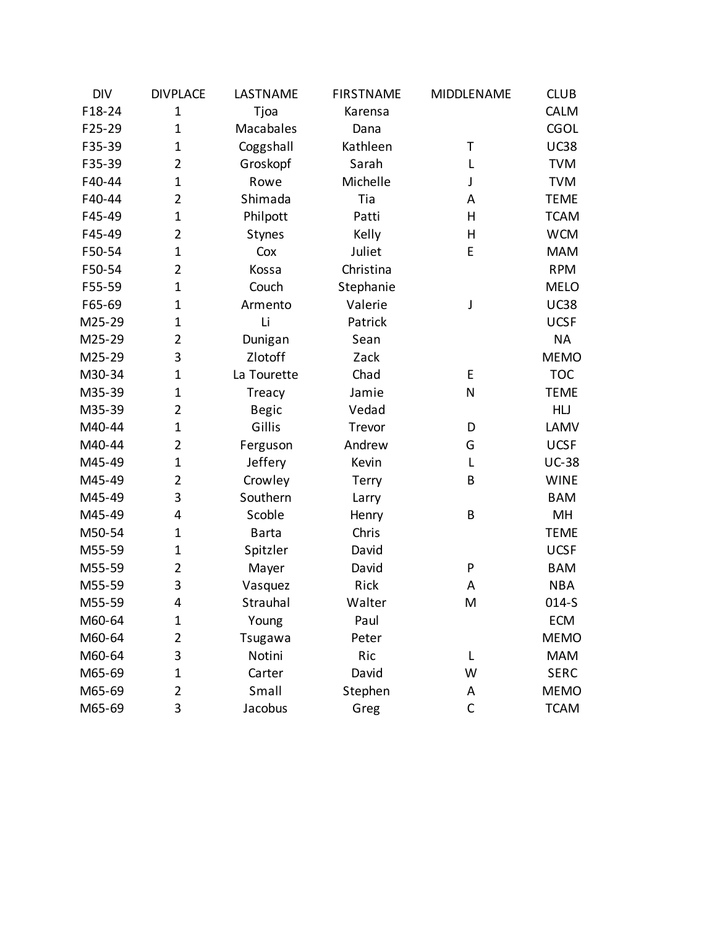| <b>DIV</b> | <b>DIVPLACE</b> | LASTNAME      | <b>FIRSTNAME</b> | MIDDLENAME   | <b>CLUB</b>  |
|------------|-----------------|---------------|------------------|--------------|--------------|
| F18-24     | $\mathbf 1$     | Tjoa          | Karensa          |              | <b>CALM</b>  |
| F25-29     | $\mathbf 1$     | Macabales     | Dana             |              | <b>CGOL</b>  |
| F35-39     | $\mathbf 1$     | Coggshall     | Kathleen         | Τ            | <b>UC38</b>  |
| F35-39     | 2               | Groskopf      | Sarah            | L            | <b>TVM</b>   |
| F40-44     | $\mathbf 1$     | Rowe          | Michelle         | J            | <b>TVM</b>   |
| F40-44     | 2               | Shimada       | Tia              | Α            | <b>TEME</b>  |
| F45-49     | $\mathbf 1$     | Philpott      | Patti            | H            | <b>TCAM</b>  |
| F45-49     | 2               | <b>Stynes</b> | Kelly            | H            | <b>WCM</b>   |
| F50-54     | $\mathbf 1$     | Cox           | Juliet           | E            | <b>MAM</b>   |
| F50-54     | 2               | Kossa         | Christina        |              | <b>RPM</b>   |
| F55-59     | $\mathbf 1$     | Couch         | Stephanie        |              | <b>MELO</b>  |
| F65-69     | 1               | Armento       | Valerie          | J            | <b>UC38</b>  |
| M25-29     | $\mathbf 1$     | Li            | Patrick          |              | <b>UCSF</b>  |
| M25-29     | 2               | Dunigan       | Sean             |              | <b>NA</b>    |
| M25-29     | 3               | Zlotoff       | Zack             |              | <b>MEMO</b>  |
| M30-34     | 1               | La Tourette   | Chad             | E            | <b>TOC</b>   |
| M35-39     | 1               | Treacy        | Jamie            | N            | <b>TEME</b>  |
| M35-39     | 2               | <b>Begic</b>  | Vedad            |              | HLJ          |
| M40-44     | $\mathbf 1$     | Gillis        | Trevor           | D            | LAMV         |
| M40-44     | 2               | Ferguson      | Andrew           | G            | <b>UCSF</b>  |
| M45-49     | $\mathbf 1$     | Jeffery       | Kevin            | L            | <b>UC-38</b> |
| M45-49     | 2               | Crowley       | <b>Terry</b>     | B            | <b>WINE</b>  |
| M45-49     | 3               | Southern      | Larry            |              | <b>BAM</b>   |
| M45-49     | 4               | Scoble        | Henry            | B            | MH           |
| M50-54     | $\mathbf 1$     | <b>Barta</b>  | Chris            |              | <b>TEME</b>  |
| M55-59     | 1               | Spitzler      | David            |              | <b>UCSF</b>  |
| M55-59     | 2               | Mayer         | David            | P            | <b>BAM</b>   |
| M55-59     | 3               | Vasquez       | Rick             | A            | <b>NBA</b>   |
| M55-59     | 4               | Strauhal      | Walter           | M            | $014-S$      |
| M60-64     | 1               | Young         | Paul             |              | <b>ECM</b>   |
| M60-64     | 2               | Tsugawa       | Peter            |              | <b>MEMO</b>  |
| M60-64     | 3               | Notini        | Ric              | L            | <b>MAM</b>   |
| M65-69     | $\mathbf 1$     | Carter        | David            | W            | <b>SERC</b>  |
| M65-69     | 2               | Small         | Stephen          | Α            | <b>MEMO</b>  |
| M65-69     | 3               | Jacobus       | Greg             | $\mathsf{C}$ | <b>TCAM</b>  |